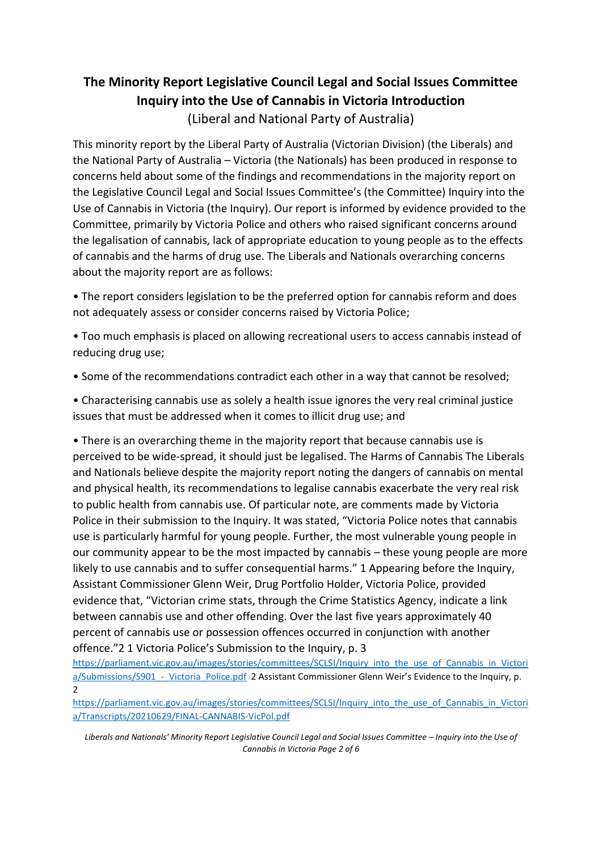## **The Minority Report Legislative Council Legal and Social Issues Committee Inquiry into the Use of Cannabis in Victoria Introduction**  (Liberal and National Party of Australia)

This minority report by the Liberal Party of Australia (Victorian Division) (the Liberals) and the National Party of Australia – Victoria (the Nationals) has been produced in response to concerns held about some of the findings and recommendations in the majority report on the Legislative Council Legal and Social Issues Committee's (the Committee) Inquiry into the Use of Cannabis in Victoria (the Inquiry). Our report is informed by evidence provided to the Committee, primarily by Victoria Police and others who raised significant concerns around the legalisation of cannabis, lack of appropriate education to young people as to the effects of cannabis and the harms of drug use. The Liberals and Nationals overarching concerns about the majority report are as follows:

• The report considers legislation to be the preferred option for cannabis reform and does not adequately assess or consider concerns raised by Victoria Police;

• Too much emphasis is placed on allowing recreational users to access cannabis instead of reducing drug use;

• Some of the recommendations contradict each other in a way that cannot be resolved;

• Characterising cannabis use as solely a health issue ignores the very real criminal justice issues that must be addressed when it comes to illicit drug use; and

• There is an overarching theme in the majority report that because cannabis use is perceived to be wide-spread, it should just be legalised. The Harms of Cannabis The Liberals and Nationals believe despite the majority report noting the dangers of cannabis on mental and physical health, its recommendations to legalise cannabis exacerbate the very real risk to public health from cannabis use. Of particular note, are comments made by Victoria Police in their submission to the Inquiry. It was stated, "Victoria Police notes that cannabis use is particularly harmful for young people. Further, the most vulnerable young people in our community appear to be the most impacted by cannabis – these young people are more likely to use cannabis and to suffer consequential harms." 1 Appearing before the Inquiry, Assistant Commissioner Glenn Weir, Drug Portfolio Holder, Victoria Police, provided evidence that, "Victorian crime stats, through the Crime Statistics Agency, indicate a link between cannabis use and other offending. Over the last five years approximately 40 percent of cannabis use or possession offences occurred in conjunction with another offence."2 1 Victoria Police's Submission to the Inquiry, p. 3

https://parliament.vic.gov.au/images/stories/committees/SCLSI/Inquiry\_into\_the\_use\_of\_Cannabis\_in\_Victori a/Submissions/S901 - Victoria\_Police.pdf 2 Assistant Commissioner Glenn Weir's Evidence to the Inquiry, p.  $\overline{\phantom{a}}$ 

https://parliament.vic.gov.au/images/stories/committees/SCLSI/Inquiry\_into\_the\_use\_of\_Cannabis\_in\_Victori [a/Transcripts/20210629/FINAL-CANNABIS-VicPol.pdf](https://parliament.vic.gov.au/images/stories/committees/SCLSI/Inquiry_into_the_use_of_Cannabis_in_Victori%20a/Transcripts/20210629/FINAL-CANNABIS-VicPol.pdf)

*Liberals and Nationals' Minority Report Legislative Council Legal and Social Issues Committee – Inquiry into the Use of Cannabis in Victoria Page 2 of 6*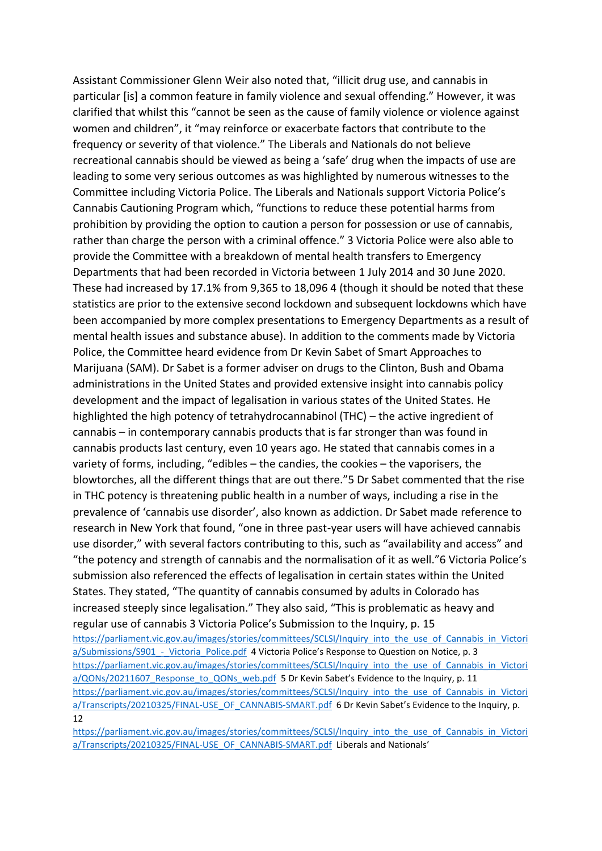Assistant Commissioner Glenn Weir also noted that, "illicit drug use, and cannabis in particular [is] a common feature in family violence and sexual offending." However, it was clarified that whilst this "cannot be seen as the cause of family violence or violence against women and children", it "may reinforce or exacerbate factors that contribute to the frequency or severity of that violence." The Liberals and Nationals do not believe recreational cannabis should be viewed as being a 'safe' drug when the impacts of use are leading to some very serious outcomes as was highlighted by numerous witnesses to the Committee including Victoria Police. The Liberals and Nationals support Victoria Police's Cannabis Cautioning Program which, "functions to reduce these potential harms from prohibition by providing the option to caution a person for possession or use of cannabis, rather than charge the person with a criminal offence." 3 Victoria Police were also able to provide the Committee with a breakdown of mental health transfers to Emergency Departments that had been recorded in Victoria between 1 July 2014 and 30 June 2020. These had increased by 17.1% from 9,365 to 18,096 4 (though it should be noted that these statistics are prior to the extensive second lockdown and subsequent lockdowns which have been accompanied by more complex presentations to Emergency Departments as a result of mental health issues and substance abuse). In addition to the comments made by Victoria Police, the Committee heard evidence from Dr Kevin Sabet of Smart Approaches to Marijuana (SAM). Dr Sabet is a former adviser on drugs to the Clinton, Bush and Obama administrations in the United States and provided extensive insight into cannabis policy development and the impact of legalisation in various states of the United States. He highlighted the high potency of tetrahydrocannabinol (THC) – the active ingredient of cannabis – in contemporary cannabis products that is far stronger than was found in cannabis products last century, even 10 years ago. He stated that cannabis comes in a variety of forms, including, "edibles – the candies, the cookies – the vaporisers, the blowtorches, all the different things that are out there."5 Dr Sabet commented that the rise in THC potency is threatening public health in a number of ways, including a rise in the prevalence of 'cannabis use disorder', also known as addiction. Dr Sabet made reference to research in New York that found, "one in three past-year users will have achieved cannabis use disorder," with several factors contributing to this, such as "availability and access" and "the potency and strength of cannabis and the normalisation of it as well."6 Victoria Police's submission also referenced the effects of legalisation in certain states within the United States. They stated, "The quantity of cannabis consumed by adults in Colorado has increased steeply since legalisation." They also said, "This is problematic as heavy and regular use of cannabis 3 Victoria Police's Submission to the Inquiry, p. 15 https://parliament.vic.gov.au/images/stories/committees/SCLSI/Inquiry\_into\_the\_use\_of\_Cannabis\_in\_Victori a/Submissions/S901 - Victoria\_Police.pdf 4 Victoria Police's Response to Question on Notice, p. 3 [https://parliament.vic.gov.au/images/stories/committees/SCLSI/Inquiry\\_into\\_the\\_use\\_of\\_Cannabis\\_in\\_Victori](https://parliament.vic.gov.au/images/stories/committees/SCLSI/Inquiry_into_the_use_of_Cannabis_in_Victori%20a/QONs/20211607_Response_to_QONs_web.pdf) [a/QONs/20211607\\_Response\\_to\\_QONs\\_web.pdf](https://parliament.vic.gov.au/images/stories/committees/SCLSI/Inquiry_into_the_use_of_Cannabis_in_Victori%20a/QONs/20211607_Response_to_QONs_web.pdf) 5 Dr Kevin Sabet's Evidence to the Inquiry, p. 11 https://parliament.vic.gov.au/images/stories/committees/SCLSI/Inquiry\_into\_the\_use\_of\_Cannabis\_in\_Victori [a/Transcripts/20210325/FINAL-USE\\_OF\\_CANNABIS-SMART.pdf](https://parliament.vic.gov.au/images/stories/committees/SCLSI/Inquiry_into_the_use_of_Cannabis_in_Victori%20a/Transcripts/20210325/FINAL-USE_OF_CANNABIS-SMART.pdf) 6 Dr Kevin Sabet's Evidence to the Inquiry, p. 12

https://parliament.vic.gov.au/images/stories/committees/SCLSI/Inquiry\_into\_the\_use\_of\_Cannabis\_in\_Victori [a/Transcripts/20210325/FINAL-USE\\_OF\\_CANNABIS-SMART.pdf](https://parliament.vic.gov.au/images/stories/committees/SCLSI/Inquiry_into_the_use_of_Cannabis_in_Victori%20a/Transcripts/20210325/FINAL-USE_OF_CANNABIS-SMART.pdf) Liberals and Nationals'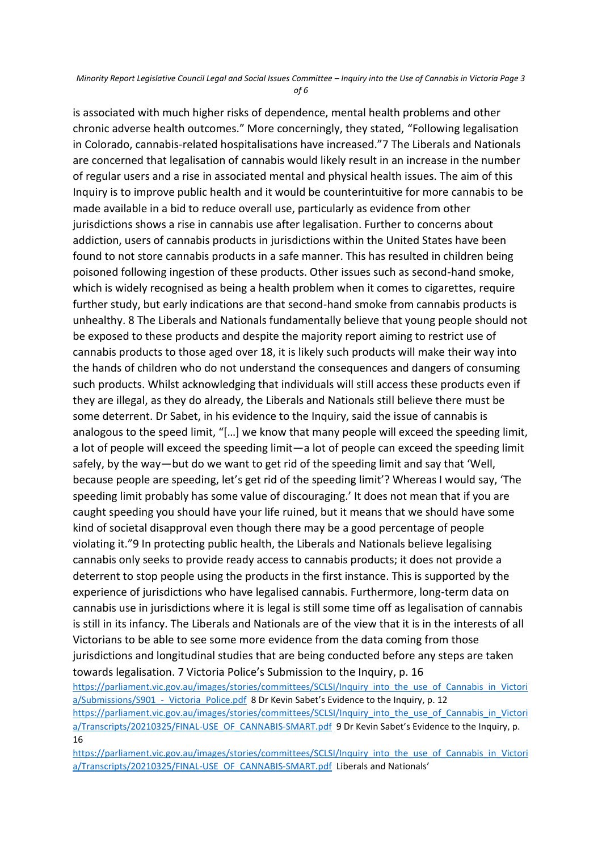## *Minority Report Legislative Council Legal and Social Issues Committee – Inquiry into the Use of Cannabis in Victoria Page 3 of 6*

is associated with much higher risks of dependence, mental health problems and other chronic adverse health outcomes." More concerningly, they stated, "Following legalisation in Colorado, cannabis-related hospitalisations have increased."7 The Liberals and Nationals are concerned that legalisation of cannabis would likely result in an increase in the number of regular users and a rise in associated mental and physical health issues. The aim of this Inquiry is to improve public health and it would be counterintuitive for more cannabis to be made available in a bid to reduce overall use, particularly as evidence from other jurisdictions shows a rise in cannabis use after legalisation. Further to concerns about addiction, users of cannabis products in jurisdictions within the United States have been found to not store cannabis products in a safe manner. This has resulted in children being poisoned following ingestion of these products. Other issues such as second-hand smoke, which is widely recognised as being a health problem when it comes to cigarettes, require further study, but early indications are that second-hand smoke from cannabis products is unhealthy. 8 The Liberals and Nationals fundamentally believe that young people should not be exposed to these products and despite the majority report aiming to restrict use of cannabis products to those aged over 18, it is likely such products will make their way into the hands of children who do not understand the consequences and dangers of consuming such products. Whilst acknowledging that individuals will still access these products even if they are illegal, as they do already, the Liberals and Nationals still believe there must be some deterrent. Dr Sabet, in his evidence to the Inquiry, said the issue of cannabis is analogous to the speed limit, "[…] we know that many people will exceed the speeding limit, a lot of people will exceed the speeding limit—a lot of people can exceed the speeding limit safely, by the way—but do we want to get rid of the speeding limit and say that 'Well, because people are speeding, let's get rid of the speeding limit'? Whereas I would say, 'The speeding limit probably has some value of discouraging.' It does not mean that if you are caught speeding you should have your life ruined, but it means that we should have some kind of societal disapproval even though there may be a good percentage of people violating it."9 In protecting public health, the Liberals and Nationals believe legalising cannabis only seeks to provide ready access to cannabis products; it does not provide a deterrent to stop people using the products in the first instance. This is supported by the experience of jurisdictions who have legalised cannabis. Furthermore, long-term data on cannabis use in jurisdictions where it is legal is still some time off as legalisation of cannabis is still in its infancy. The Liberals and Nationals are of the view that it is in the interests of all Victorians to be able to see some more evidence from the data coming from those jurisdictions and longitudinal studies that are being conducted before any steps are taken towards legalisation. 7 Victoria Police's Submission to the Inquiry, p. 16 https://parliament.vic.gov.au/images/stories/committees/SCLSI/Inquiry\_into\_the\_use\_of\_Cannabis\_in\_Victori a/Submissions/S901 - Victoria\_Police.pdf 8 Dr Kevin Sabet's Evidence to the Inquiry, p. 12 https://parliament.vic.gov.au/images/stories/committees/SCLSI/Inquiry\_into\_the\_use\_of\_Cannabis\_in\_Victori [a/Transcripts/20210325/FINAL-USE\\_OF\\_CANNABIS-SMART.pdf](https://parliament.vic.gov.au/images/stories/committees/SCLSI/Inquiry_into_the_use_of_Cannabis_in_Victori%20a/Transcripts/20210325/FINAL-USE_OF_CANNABIS-SMART.pdf) 9 Dr Kevin Sabet's Evidence to the Inquiry, p.

16

https://parliament.vic.gov.au/images/stories/committees/SCLSI/Inquiry\_into\_the\_use\_of\_Cannabis\_in\_Victori [a/Transcripts/20210325/FINAL-USE\\_OF\\_CANNABIS-SMART.pdf](https://parliament.vic.gov.au/images/stories/committees/SCLSI/Inquiry_into_the_use_of_Cannabis_in_Victori%20a/Transcripts/20210325/FINAL-USE_OF_CANNABIS-SMART.pdf) Liberals and Nationals'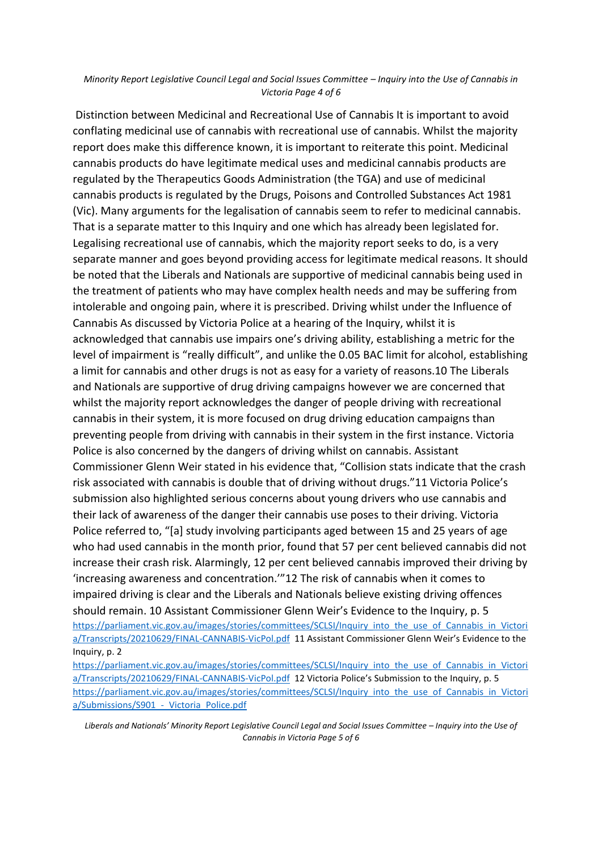## *Minority Report Legislative Council Legal and Social Issues Committee – Inquiry into the Use of Cannabis in Victoria Page 4 of 6*

Distinction between Medicinal and Recreational Use of Cannabis It is important to avoid conflating medicinal use of cannabis with recreational use of cannabis. Whilst the majority report does make this difference known, it is important to reiterate this point. Medicinal cannabis products do have legitimate medical uses and medicinal cannabis products are regulated by the Therapeutics Goods Administration (the TGA) and use of medicinal cannabis products is regulated by the Drugs, Poisons and Controlled Substances Act 1981 (Vic). Many arguments for the legalisation of cannabis seem to refer to medicinal cannabis. That is a separate matter to this Inquiry and one which has already been legislated for. Legalising recreational use of cannabis, which the majority report seeks to do, is a very separate manner and goes beyond providing access for legitimate medical reasons. It should be noted that the Liberals and Nationals are supportive of medicinal cannabis being used in the treatment of patients who may have complex health needs and may be suffering from intolerable and ongoing pain, where it is prescribed. Driving whilst under the Influence of Cannabis As discussed by Victoria Police at a hearing of the Inquiry, whilst it is acknowledged that cannabis use impairs one's driving ability, establishing a metric for the level of impairment is "really difficult", and unlike the 0.05 BAC limit for alcohol, establishing a limit for cannabis and other drugs is not as easy for a variety of reasons.10 The Liberals and Nationals are supportive of drug driving campaigns however we are concerned that whilst the majority report acknowledges the danger of people driving with recreational cannabis in their system, it is more focused on drug driving education campaigns than preventing people from driving with cannabis in their system in the first instance. Victoria Police is also concerned by the dangers of driving whilst on cannabis. Assistant Commissioner Glenn Weir stated in his evidence that, "Collision stats indicate that the crash risk associated with cannabis is double that of driving without drugs."11 Victoria Police's submission also highlighted serious concerns about young drivers who use cannabis and their lack of awareness of the danger their cannabis use poses to their driving. Victoria Police referred to, "[a] study involving participants aged between 15 and 25 years of age who had used cannabis in the month prior, found that 57 per cent believed cannabis did not increase their crash risk. Alarmingly, 12 per cent believed cannabis improved their driving by 'increasing awareness and concentration.'"12 The risk of cannabis when it comes to impaired driving is clear and the Liberals and Nationals believe existing driving offences should remain. 10 Assistant Commissioner Glenn Weir's Evidence to the Inquiry, p. 5 https://parliament.vic.gov.au/images/stories/committees/SCLSI/Inquiry\_into\_the\_use\_of\_Cannabis\_in\_Victori [a/Transcripts/20210629/FINAL-CANNABIS-VicPol.pdf](https://parliament.vic.gov.au/images/stories/committees/SCLSI/Inquiry_into_the_use_of_Cannabis_in_Victori%20a/Transcripts/20210629/FINAL-CANNABIS-VicPol.pdf) 11 Assistant Commissioner Glenn Weir's Evidence to the Inquiry, p. 2

https://parliament.vic.gov.au/images/stories/committees/SCLSI/Inquiry\_into\_the\_use\_of\_Cannabis\_in\_Victori [a/Transcripts/20210629/FINAL-CANNABIS-VicPol.pdf](https://parliament.vic.gov.au/images/stories/committees/SCLSI/Inquiry_into_the_use_of_Cannabis_in_Victori%20a/Transcripts/20210629/FINAL-CANNABIS-VicPol.pdf) 12 Victoria Police's Submission to the Inquiry, p. 5 https://parliament.vic.gov.au/images/stories/committees/SCLSI/Inquiry\_into\_the\_use\_of\_Cannabis\_in\_Victori a/Submissions/S901 - Victoria Police.pdf

*Liberals and Nationals' Minority Report Legislative Council Legal and Social Issues Committee – Inquiry into the Use of Cannabis in Victoria Page 5 of 6*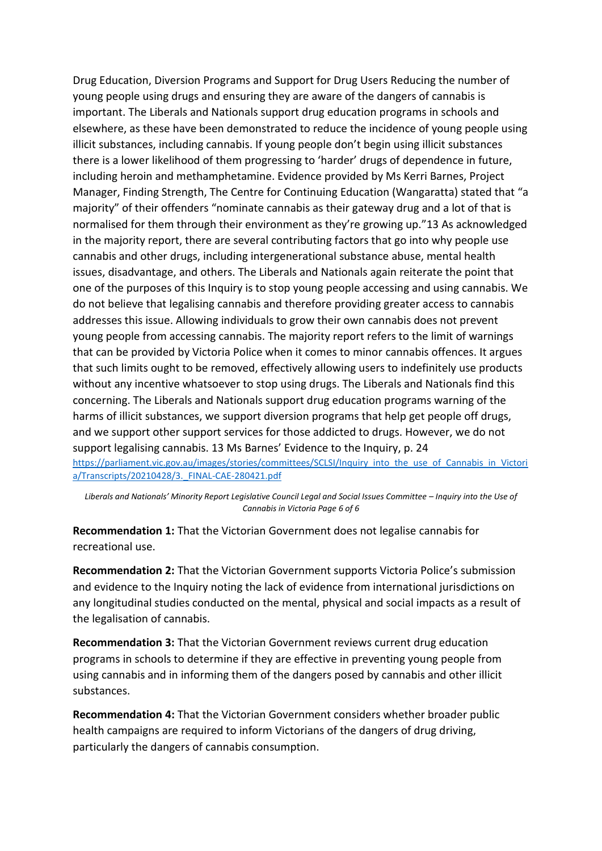Drug Education, Diversion Programs and Support for Drug Users Reducing the number of young people using drugs and ensuring they are aware of the dangers of cannabis is important. The Liberals and Nationals support drug education programs in schools and elsewhere, as these have been demonstrated to reduce the incidence of young people using illicit substances, including cannabis. If young people don't begin using illicit substances there is a lower likelihood of them progressing to 'harder' drugs of dependence in future, including heroin and methamphetamine. Evidence provided by Ms Kerri Barnes, Project Manager, Finding Strength, The Centre for Continuing Education (Wangaratta) stated that "a majority" of their offenders "nominate cannabis as their gateway drug and a lot of that is normalised for them through their environment as they're growing up."13 As acknowledged in the majority report, there are several contributing factors that go into why people use cannabis and other drugs, including intergenerational substance abuse, mental health issues, disadvantage, and others. The Liberals and Nationals again reiterate the point that one of the purposes of this Inquiry is to stop young people accessing and using cannabis. We do not believe that legalising cannabis and therefore providing greater access to cannabis addresses this issue. Allowing individuals to grow their own cannabis does not prevent young people from accessing cannabis. The majority report refers to the limit of warnings that can be provided by Victoria Police when it comes to minor cannabis offences. It argues that such limits ought to be removed, effectively allowing users to indefinitely use products without any incentive whatsoever to stop using drugs. The Liberals and Nationals find this concerning. The Liberals and Nationals support drug education programs warning of the harms of illicit substances, we support diversion programs that help get people off drugs, and we support other support services for those addicted to drugs. However, we do not support legalising cannabis. 13 Ms Barnes' Evidence to the Inquiry, p. 24 https://parliament.vic.gov.au/images/stories/committees/SCLSI/Inquiry\_into\_the\_use\_of\_Cannabis\_in\_Victori [a/Transcripts/20210428/3.\\_FINAL-CAE-280421.pdf](https://parliament.vic.gov.au/images/stories/committees/SCLSI/Inquiry_into_the_use_of_Cannabis_in_Victori%20a/Transcripts/20210428/3._FINAL-CAE-280421.pdf)

*Liberals and Nationals' Minority Report Legislative Council Legal and Social Issues Committee – Inquiry into the Use of Cannabis in Victoria Page 6 of 6*

**Recommendation 1:** That the Victorian Government does not legalise cannabis for recreational use.

**Recommendation 2:** That the Victorian Government supports Victoria Police's submission and evidence to the Inquiry noting the lack of evidence from international jurisdictions on any longitudinal studies conducted on the mental, physical and social impacts as a result of the legalisation of cannabis.

**Recommendation 3:** That the Victorian Government reviews current drug education programs in schools to determine if they are effective in preventing young people from using cannabis and in informing them of the dangers posed by cannabis and other illicit substances.

**Recommendation 4:** That the Victorian Government considers whether broader public health campaigns are required to inform Victorians of the dangers of drug driving, particularly the dangers of cannabis consumption.